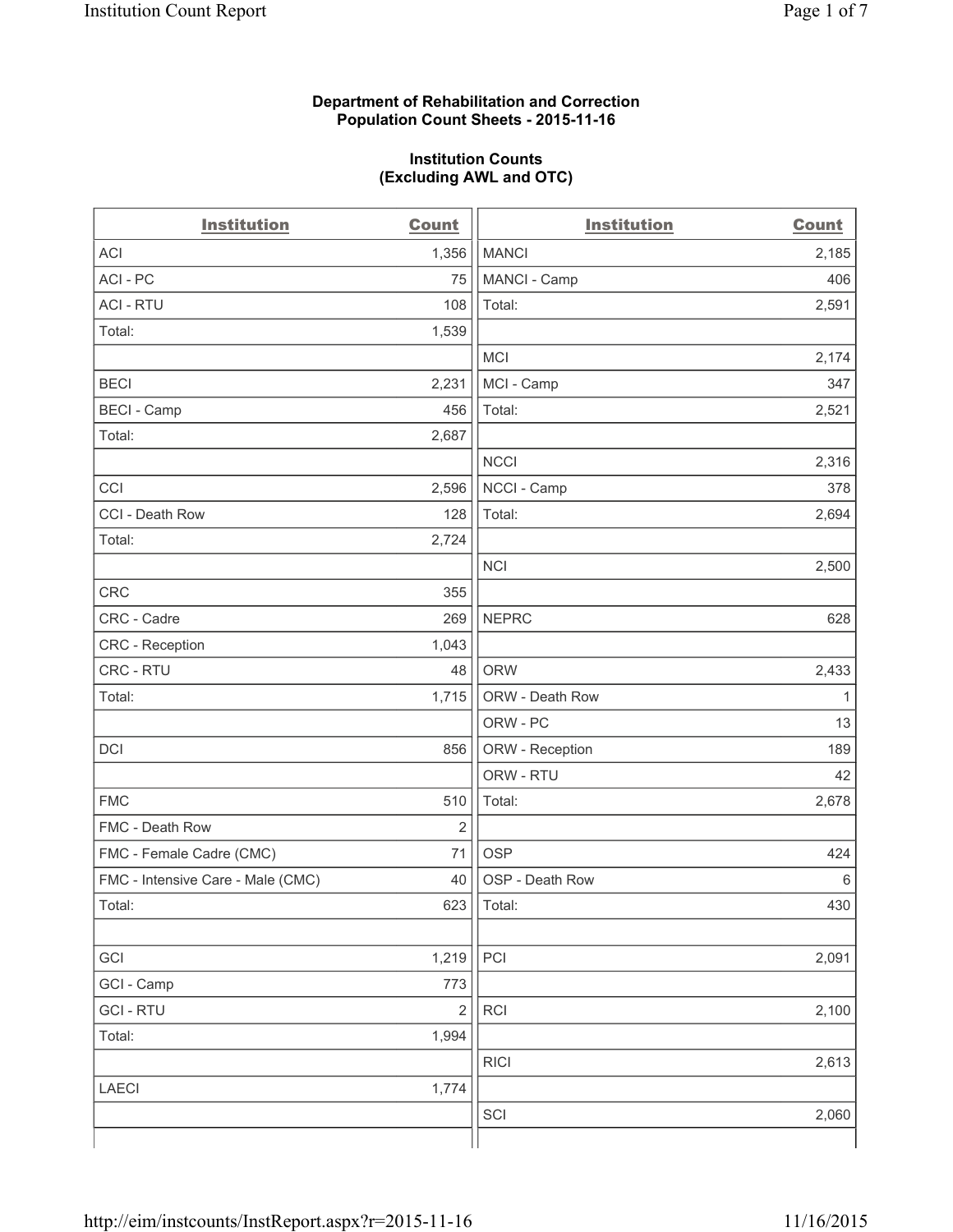### **Department of Rehabilitation and Correction Population Count Sheets - 2015-11-16**

#### **Institution Counts (Excluding AWL and OTC)**

| <b>Count</b>   | <b>Institution</b> | <b>Count</b> |
|----------------|--------------------|--------------|
| 1,356          | <b>MANCI</b>       | 2,185        |
| 75             | MANCI - Camp       | 406          |
| 108            | Total:             | 2,591        |
| 1,539          |                    |              |
|                | <b>MCI</b>         | 2,174        |
| 2,231          | MCI - Camp         | 347          |
| 456            | Total:             | 2,521        |
| 2,687          |                    |              |
|                | <b>NCCI</b>        | 2,316        |
| 2,596          | NCCI - Camp        | 378          |
| 128            | Total:             | 2,694        |
| 2,724          |                    |              |
|                | <b>NCI</b>         | 2,500        |
| 355            |                    |              |
| 269            | <b>NEPRC</b>       | 628          |
| 1,043          |                    |              |
| 48             | <b>ORW</b>         | 2,433        |
| 1,715          | ORW - Death Row    | $\mathbf{1}$ |
|                | ORW - PC           | 13           |
| 856            | ORW - Reception    | 189          |
|                | ORW - RTU          | 42           |
| 510            | Total:             | 2,678        |
| $\overline{2}$ |                    |              |
| 71             | <b>OSP</b>         | 424          |
| 40             | OSP - Death Row    | 6            |
| 623            | Total:             | 430          |
|                |                    |              |
| 1,219          | PCI                | 2,091        |
| 773            |                    |              |
| $\overline{2}$ | RCI                | 2,100        |
| 1,994          |                    |              |
|                | <b>RICI</b>        | 2,613        |
| 1,774          |                    |              |
|                | SCI                | 2,060        |
|                |                    |              |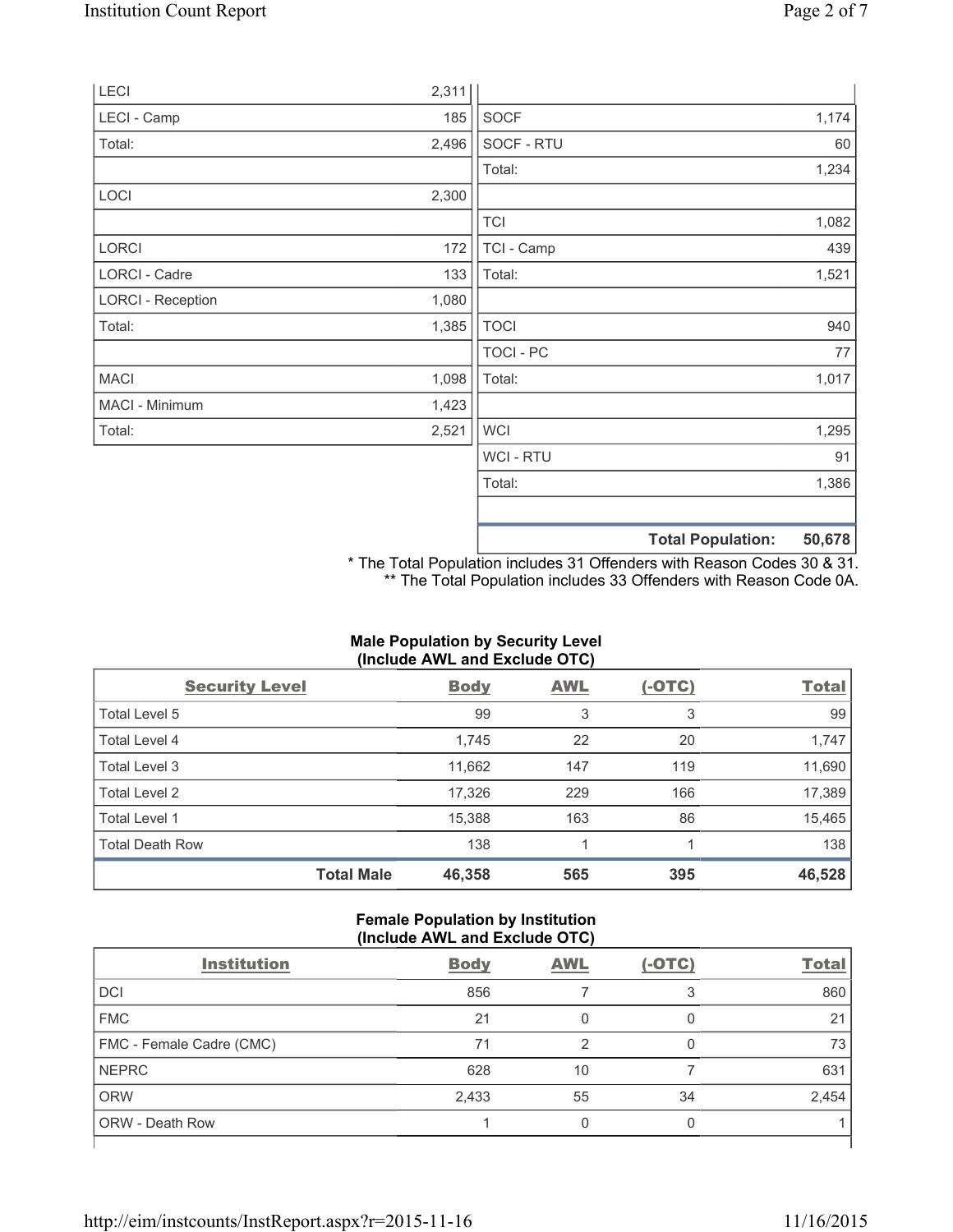| LECI                     | 2,311 |                |                          |        |
|--------------------------|-------|----------------|--------------------------|--------|
| LECI - Camp              | 185   | <b>SOCF</b>    |                          | 1,174  |
| Total:                   | 2,496 | SOCF - RTU     |                          | 60     |
|                          |       | Total:         |                          | 1,234  |
| LOCI                     | 2,300 |                |                          |        |
|                          |       | <b>TCI</b>     |                          | 1,082  |
| <b>LORCI</b>             | 172   | TCI - Camp     |                          | 439    |
| LORCI - Cadre            | 133   | Total:         |                          | 1,521  |
| <b>LORCI - Reception</b> | 1,080 |                |                          |        |
| Total:                   | 1,385 | <b>TOCI</b>    |                          | 940    |
|                          |       | TOCI - PC      |                          | 77     |
| <b>MACI</b>              | 1,098 | Total:         |                          | 1,017  |
| MACI - Minimum           | 1,423 |                |                          |        |
| Total:                   | 2,521 | <b>WCI</b>     |                          | 1,295  |
|                          |       | <b>WCI-RTU</b> |                          | 91     |
|                          |       | Total:         |                          | 1,386  |
|                          |       |                | <b>Total Population:</b> | 50,678 |

\* The Total Population includes 31 Offenders with Reason Codes 30 & 31. \*\* The Total Population includes 33 Offenders with Reason Code 0A.

# **Male Population by Security Level (Include AWL and Exclude OTC)**

| <b>Security Level</b>  |                   | <b>Body</b> | <b>AWL</b> | $(-OTC)$ | <b>Total</b> |
|------------------------|-------------------|-------------|------------|----------|--------------|
| Total Level 5          |                   | 99          | 3          | 3        | 99           |
| <b>Total Level 4</b>   |                   | 1,745       | 22         | 20       | 1,747        |
| Total Level 3          |                   | 11,662      | 147        | 119      | 11,690       |
| Total Level 2          |                   | 17,326      | 229        | 166      | 17,389       |
| <b>Total Level 1</b>   |                   | 15,388      | 163        | 86       | 15,465       |
| <b>Total Death Row</b> |                   | 138         | 1          |          | 138          |
|                        | <b>Total Male</b> | 46,358      | 565        | 395      | 46,528       |

# **Female Population by Institution (Include AWL and Exclude OTC)**

| <b>Institution</b>       | <b>Body</b> | <b>AWL</b> | $(-OTC)$ | <b>Total</b> |  |
|--------------------------|-------------|------------|----------|--------------|--|
| <b>DCI</b>               | 856         |            |          | 860          |  |
| <b>FMC</b>               | 21          | 0          |          | 21           |  |
| FMC - Female Cadre (CMC) | 71          | ◠          |          | 73           |  |
| <b>NEPRC</b>             | 628         | 10         |          | 631          |  |
| <b>ORW</b>               | 2,433       | 55         | 34       | 2,454        |  |
| <b>ORW - Death Row</b>   |             | Ω          |          |              |  |
|                          |             |            |          |              |  |

٦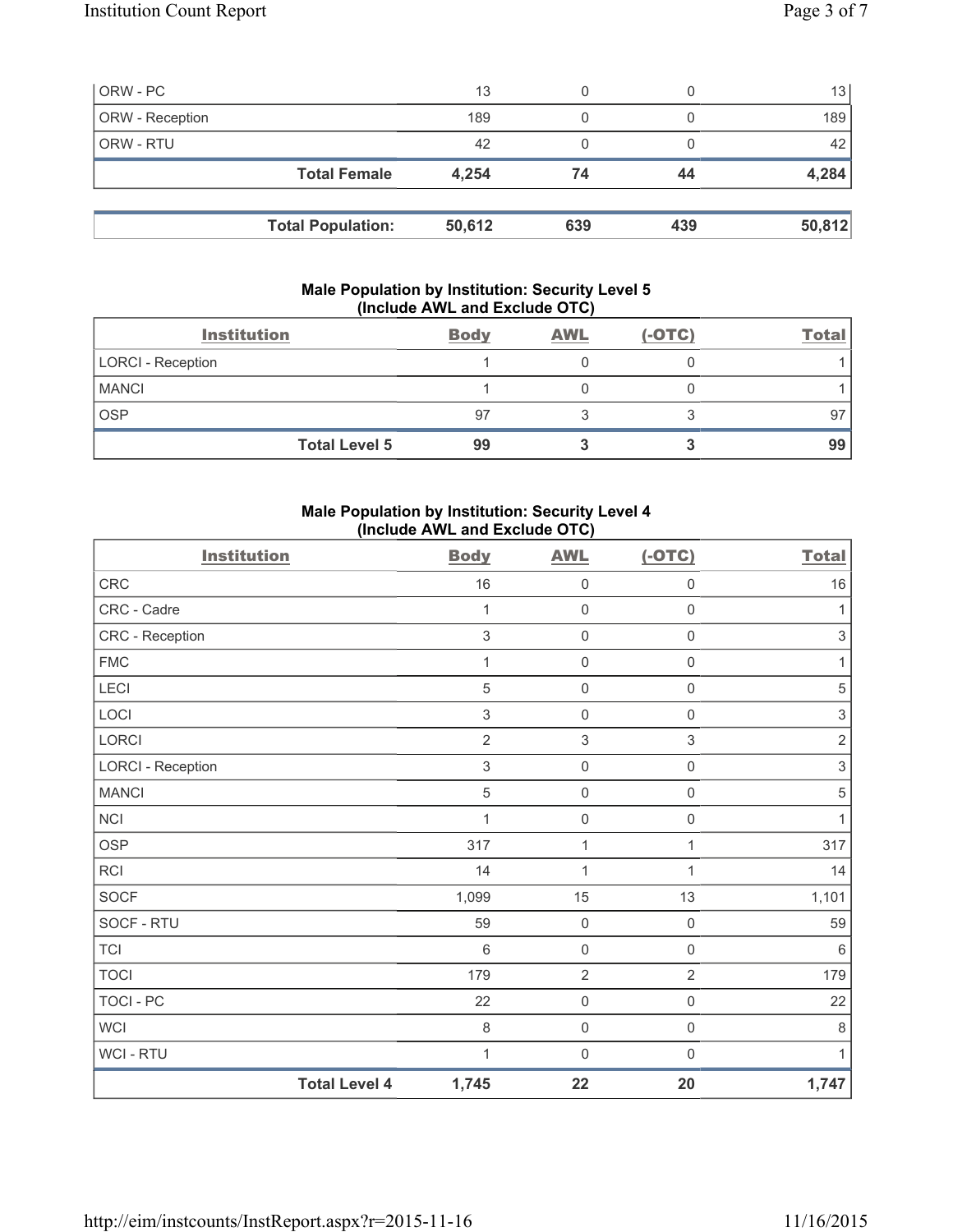| ORW - PC        |                          | 13     | 0   |     | 13     |
|-----------------|--------------------------|--------|-----|-----|--------|
| ORW - Reception |                          | 189    |     |     | 189    |
| ORW - RTU       |                          | 42     |     |     | 42     |
|                 | <b>Total Female</b>      | 4,254  | 74  | 44  | 4,284  |
|                 |                          |        |     |     |        |
|                 | <b>Total Population:</b> | 50,612 | 639 | 439 | 50,812 |

# **Male Population by Institution: Security Level 5 (Include AWL and Exclude OTC)**

| <b>Institution</b>   | <b>Body</b> | <b>AWL</b> | $(-OTC)$ | <b>Total</b> |
|----------------------|-------------|------------|----------|--------------|
| LORCI - Reception    |             |            |          |              |
| <b>MANCI</b>         |             |            |          |              |
| <b>OSP</b>           | 97          |            |          | 97           |
| <b>Total Level 5</b> | 99          |            |          | 99           |

# **Male Population by Institution: Security Level 4 (Include AWL and Exclude OTC)**

| <b>Institution</b>       |                      | <b>Body</b>    | <b>AWL</b>                | $(-OTC)$            | <b>Total</b>              |
|--------------------------|----------------------|----------------|---------------------------|---------------------|---------------------------|
| CRC                      |                      | $16$           | $\mathbf 0$               | $\mathbf 0$         | $16$                      |
| CRC - Cadre              |                      | 1              | $\mathbf 0$               | $\mathsf 0$         | 1                         |
| CRC - Reception          |                      | $\mathsf 3$    | $\mathsf 0$               | $\mathsf{O}\xspace$ | $\ensuremath{\mathsf{3}}$ |
| <b>FMC</b>               |                      | 1              | $\mathbf 0$               | $\mathsf 0$         | 1                         |
| LECI                     |                      | 5              | $\mathsf 0$               | $\mathsf{O}\xspace$ | $\sqrt{5}$                |
| LOCI                     |                      | 3              | $\mathbf 0$               | 0                   | $\ensuremath{\mathsf{3}}$ |
| LORCI                    |                      | $\overline{2}$ | $\ensuremath{\mathsf{3}}$ | $\mathfrak{S}$      | $\sqrt{2}$                |
| <b>LORCI - Reception</b> |                      | $\mathfrak{S}$ | $\mathsf{O}\xspace$       | $\mathsf 0$         | $\mathsf 3$               |
| <b>MANCI</b>             |                      | 5              | $\mathsf 0$               | $\mathsf{O}\xspace$ | $\sqrt{5}$                |
| <b>NCI</b>               |                      | 1              | $\mathbf 0$               | 0                   | 1                         |
| <b>OSP</b>               |                      | 317            | $\mathbf 1$               | 1                   | 317                       |
| <b>RCI</b>               |                      | 14             | 1                         | 1                   | 14                        |
| SOCF                     |                      | 1,099          | 15                        | 13                  | 1,101                     |
| SOCF - RTU               |                      | 59             | $\mathbf 0$               | $\mathsf{O}\xspace$ | 59                        |
| <b>TCI</b>               |                      | $\,6\,$        | $\mathbf 0$               | $\mathsf{O}\xspace$ | $\,6\,$                   |
| <b>TOCI</b>              |                      | 179            | $\overline{2}$            | $\overline{2}$      | 179                       |
| <b>TOCI - PC</b>         |                      | 22             | $\mathsf 0$               | $\mathsf 0$         | 22                        |
| <b>WCI</b>               |                      | 8              | $\mathsf 0$               | 0                   | 8                         |
| WCI - RTU                |                      | 1              | 0                         | 0                   | 1                         |
|                          | <b>Total Level 4</b> | 1,745          | 22                        | 20                  | 1,747                     |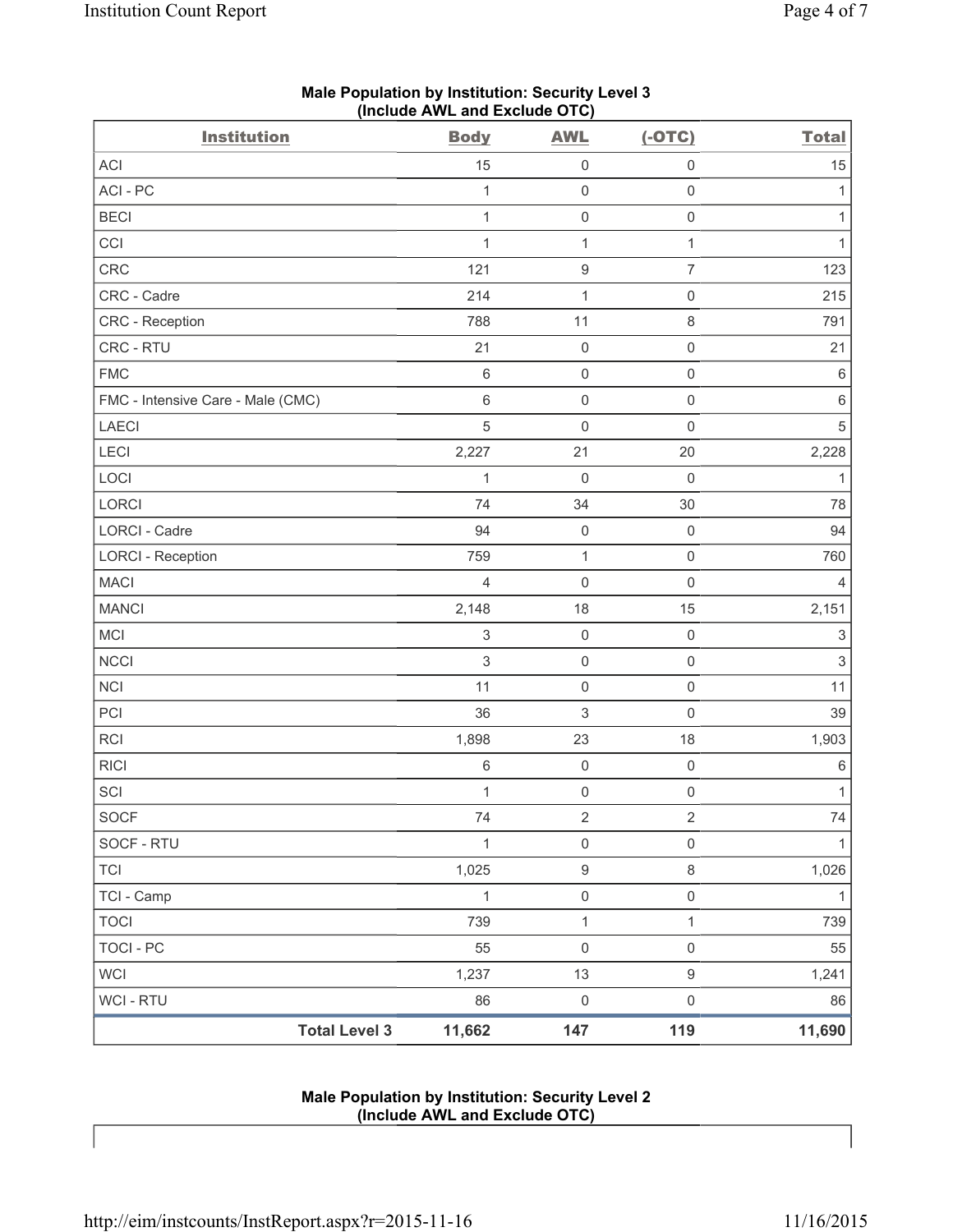| <b>Institution</b>                | <b>Body</b>    | <b>AWL</b>          | $(-OTC)$            | <b>Total</b>              |
|-----------------------------------|----------------|---------------------|---------------------|---------------------------|
| ACI                               | 15             | $\boldsymbol{0}$    | $\mathsf{O}\xspace$ | 15                        |
| ACI-PC                            | 1              | $\mathsf{O}\xspace$ | $\mathsf{O}\xspace$ | 1                         |
| <b>BECI</b>                       | 1              | $\mathsf{O}\xspace$ | $\mathsf{O}\xspace$ | 1                         |
| CCI                               | $\mathbf{1}$   | $\mathbf 1$         | $\mathbf{1}$        | $\mathbf{1}$              |
| CRC                               | 121            | 9                   | $\overline{7}$      | 123                       |
| CRC - Cadre                       | 214            | $\mathbf{1}$        | $\mathsf 0$         | 215                       |
| CRC - Reception                   | 788            | 11                  | $\,8\,$             | 791                       |
| CRC - RTU                         | 21             | $\mathsf{O}\xspace$ | $\mathsf{O}\xspace$ | 21                        |
| <b>FMC</b>                        | $\,6\,$        | $\mathsf{O}\xspace$ | $\mathsf 0$         | $\,6\,$                   |
| FMC - Intensive Care - Male (CMC) | $\,6$          | $\mathsf{O}\xspace$ | $\mathsf 0$         | $\,6\,$                   |
| <b>LAECI</b>                      | $\overline{5}$ | $\mathsf{O}\xspace$ | $\mathsf{O}\xspace$ | $\sqrt{5}$                |
| LECI                              | 2,227          | 21                  | 20                  | 2,228                     |
| LOCI                              | 1              | $\mathbf 0$         | $\mathbf 0$         | 1                         |
| LORCI                             | 74             | 34                  | 30                  | 78                        |
| LORCI - Cadre                     | 94             | $\boldsymbol{0}$    | $\mathsf 0$         | 94                        |
| <b>LORCI - Reception</b>          | 759            | $\mathbf 1$         | $\mathsf 0$         | 760                       |
| <b>MACI</b>                       | $\overline{4}$ | $\mathsf{O}\xspace$ | $\mathsf{O}\xspace$ | 4                         |
| <b>MANCI</b>                      | 2,148          | 18                  | 15                  | 2,151                     |
| MCI                               | $\,$ 3 $\,$    | $\mathsf{O}\xspace$ | $\mathsf 0$         | $\ensuremath{\mathsf{3}}$ |
| <b>NCCI</b>                       | $\sqrt{3}$     | $\mathsf{O}\xspace$ | $\mathsf 0$         | $\ensuremath{\mathsf{3}}$ |
| <b>NCI</b>                        | 11             | $\mathsf{O}\xspace$ | $\mathsf 0$         | 11                        |
| PCI                               | 36             | 3                   | $\mathsf{O}\xspace$ | 39                        |
| <b>RCI</b>                        | 1,898          | 23                  | 18                  | 1,903                     |
| <b>RICI</b>                       | $\,6\,$        | $\mathsf{O}\xspace$ | $\mathsf 0$         | $\,6\,$                   |
| SCI                               | 1              | $\mathsf{O}\xspace$ | $\mathsf{O}\xspace$ | 1                         |
| SOCF                              | 74             | $\sqrt{2}$          | $\sqrt{2}$          | 74                        |
| SOCF - RTU                        | 1              | $\mathsf{O}\xspace$ | $\mathsf{O}\xspace$ | 1                         |
| <b>TCI</b>                        | 1,025          | $\boldsymbol{9}$    | 8                   | 1,026                     |
| TCI - Camp                        | $\mathbf{1}$   | $\mathsf{O}\xspace$ | $\mathsf{O}\xspace$ | $\mathbf{1}$              |
| <b>TOCI</b>                       | 739            | $\mathbf 1$         | $\mathbf{1}$        | 739                       |
| <b>TOCI - PC</b>                  | 55             | $\mathsf{O}\xspace$ | $\mathsf 0$         | 55                        |
| <b>WCI</b>                        | 1,237          | 13                  | $\boldsymbol{9}$    | 1,241                     |
| WCI - RTU                         | 86             | $\mathsf{O}\xspace$ | $\mathsf 0$         | 86                        |
| <b>Total Level 3</b>              | 11,662         | 147                 | 119                 | 11,690                    |

### **Male Population by Institution: Security Level 3 (Include AWL and Exclude OTC)**

#### **Male Population by Institution: Security Level 2 (Include AWL and Exclude OTC)**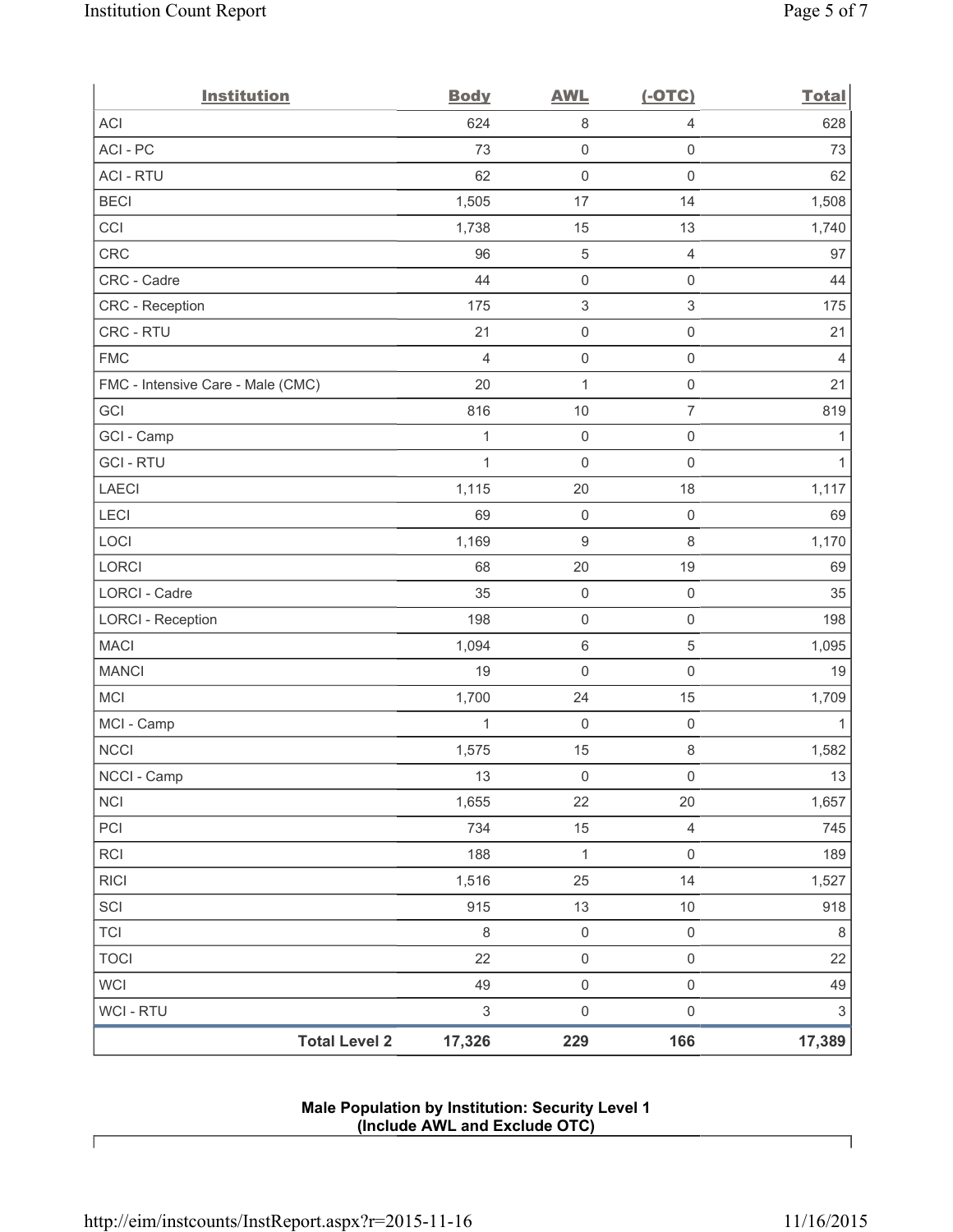| <b>Institution</b>                | <b>Body</b>    | <b>AWL</b>                | $(-OTC)$            | <b>Total</b>   |
|-----------------------------------|----------------|---------------------------|---------------------|----------------|
| ACI                               | 624            | $\,8\,$                   | $\overline{4}$      | 628            |
| ACI - PC                          | 73             | $\mathsf{O}\xspace$       | $\mathsf{O}\xspace$ | 73             |
| <b>ACI - RTU</b>                  | 62             | $\mathbf 0$               | $\mathbf 0$         | 62             |
| <b>BECI</b>                       | 1,505          | 17                        | 14                  | 1,508          |
| CCI                               | 1,738          | 15                        | 13                  | 1,740          |
| <b>CRC</b>                        | 96             | 5                         | $\overline{4}$      | 97             |
| CRC - Cadre                       | 44             | $\mathsf{O}\xspace$       | $\mathsf 0$         | 44             |
| CRC - Reception                   | 175            | $\ensuremath{\mathsf{3}}$ | $\mathfrak{S}$      | 175            |
| CRC - RTU                         | 21             | $\mathsf{O}\xspace$       | $\mathsf 0$         | 21             |
| <b>FMC</b>                        | $\overline{4}$ | $\mathsf{O}\xspace$       | $\mathsf{O}\xspace$ | $\overline{4}$ |
| FMC - Intensive Care - Male (CMC) | 20             | 1                         | $\mathsf{O}\xspace$ | 21             |
| GCI                               | 816            | 10                        | $\overline{7}$      | 819            |
| GCI - Camp                        | $\mathbf{1}$   | $\mathsf{O}\xspace$       | $\mathsf{O}\xspace$ | 1              |
| <b>GCI-RTU</b>                    | 1              | $\mathbf 0$               | $\mathsf 0$         | $\mathbf{1}$   |
| <b>LAECI</b>                      | 1,115          | 20                        | 18                  | 1,117          |
| LECI                              | 69             | $\mathsf{O}\xspace$       | $\mathbf 0$         | 69             |
| LOCI                              | 1,169          | $\boldsymbol{9}$          | $\,8\,$             | 1,170          |
| LORCI                             | 68             | 20                        | 19                  | 69             |
| LORCI - Cadre                     | 35             | $\mathsf{O}\xspace$       | $\mathsf{O}\xspace$ | 35             |
| <b>LORCI - Reception</b>          | 198            | $\mathsf{O}\xspace$       | $\mathsf{O}\xspace$ | 198            |
| <b>MACI</b>                       | 1,094          | 6                         | $\sqrt{5}$          | 1,095          |
| <b>MANCI</b>                      | 19             | $\mathsf{O}\xspace$       | $\mathsf 0$         | 19             |
| MCI                               | 1,700          | 24                        | 15                  | 1,709          |
| MCI - Camp                        | 1              | $\mathbf 0$               | $\mathsf{O}\xspace$ | $\mathbf{1}$   |
| <b>NCCI</b>                       | 1,575          | 15                        | $\,8\,$             | 1,582          |
| NCCI - Camp                       | 13             | $\mathsf 0$               | $\mathsf{O}\xspace$ | $13\,$         |
| <b>NCI</b>                        | 1,655          | 22                        | 20                  | 1,657          |
| PCI                               | 734            | 15                        | $\overline{4}$      | 745            |
| RCI                               | 188            | $\mathbf{1}$              | $\mathsf 0$         | 189            |
| <b>RICI</b>                       | 1,516          | 25                        | 14                  | 1,527          |
| SCI                               | 915            | 13                        | 10                  | 918            |
| <b>TCI</b>                        | $\,8\,$        | $\mathsf 0$               | $\mathsf 0$         | $\,8\,$        |
| <b>TOCI</b>                       | 22             | $\mathsf 0$               | $\mathsf{O}\xspace$ | 22             |
| <b>WCI</b>                        | 49             | $\mathsf 0$               | $\mathsf{O}\xspace$ | 49             |
| <b>WCI - RTU</b>                  | $\sqrt{3}$     | $\mathsf{O}\xspace$       | $\mathsf 0$         | $\mathsf 3$    |
| <b>Total Level 2</b>              | 17,326         | 229                       | 166                 | 17,389         |

# **Male Population by Institution: Security Level 1 (Include AWL and Exclude OTC)**

 $\lceil$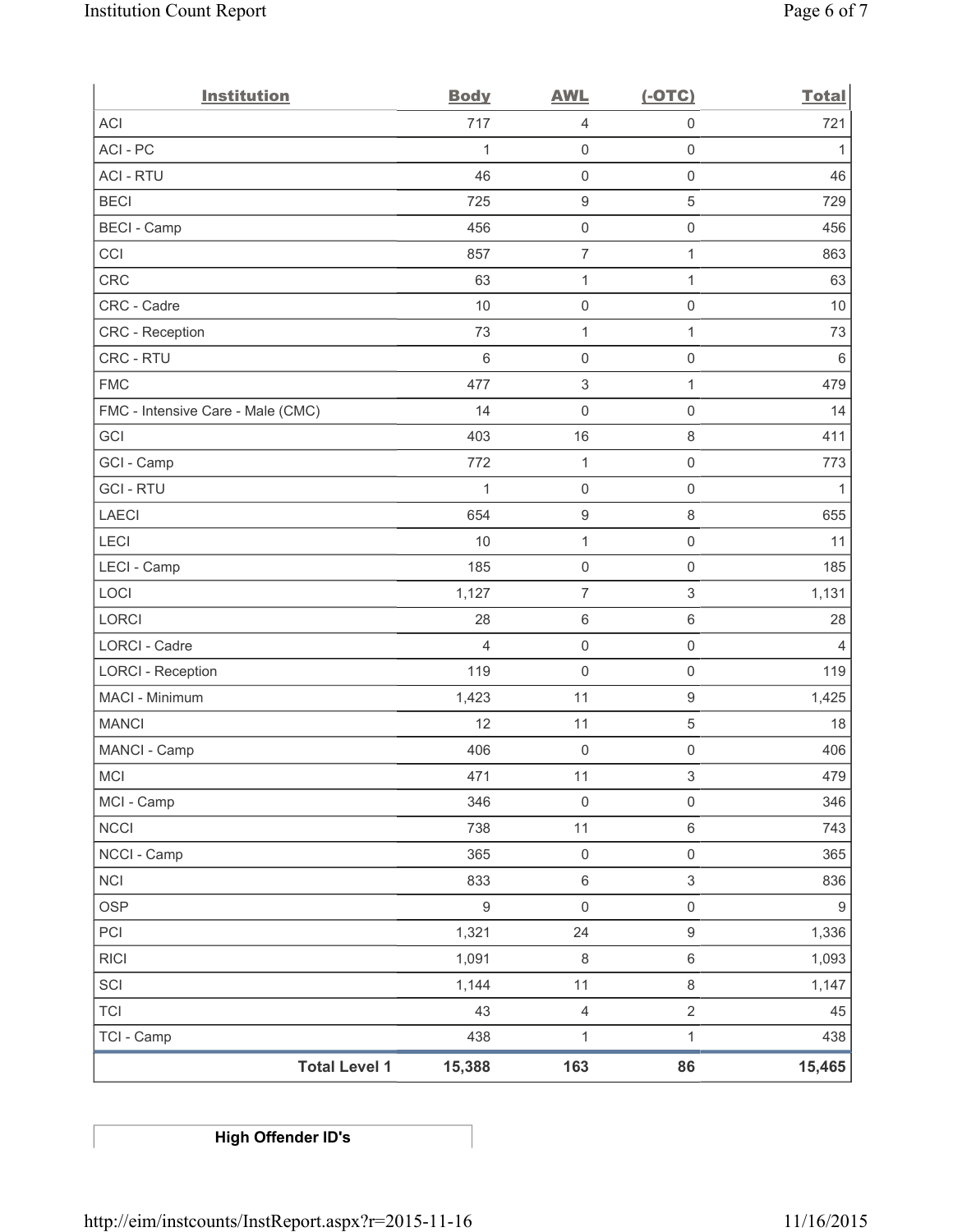| <b>Institution</b>                | <b>Body</b>      | <b>AWL</b>                | $(-OTC)$                  | <b>Total</b>     |
|-----------------------------------|------------------|---------------------------|---------------------------|------------------|
| <b>ACI</b>                        | 717              | 4                         | $\mathbf 0$               | 721              |
| ACI-PC                            | 1                | $\mathsf{O}\xspace$       | $\mathsf 0$               | 1                |
| <b>ACI - RTU</b>                  | 46               | $\mathsf{O}\xspace$       | $\mathsf{O}\xspace$       | 46               |
| <b>BECI</b>                       | 725              | $\boldsymbol{9}$          | $\mathbf 5$               | 729              |
| <b>BECI</b> - Camp                | 456              | $\mathsf{O}\xspace$       | $\mathsf{O}\xspace$       | 456              |
| CCI                               | 857              | $\overline{\mathcal{I}}$  | $\mathbf{1}$              | 863              |
| <b>CRC</b>                        | 63               | $\mathbf{1}$              | $\mathbf{1}$              | 63               |
| CRC - Cadre                       | 10               | $\mathbf 0$               | $\mathsf{O}\xspace$       | 10               |
| CRC - Reception                   | 73               | $\mathbf{1}$              | $\mathbf{1}$              | 73               |
| CRC - RTU                         | $\,6$            | $\mathbf 0$               | $\mathsf 0$               | $\,6\,$          |
| <b>FMC</b>                        | 477              | $\ensuremath{\mathsf{3}}$ | $\mathbf{1}$              | 479              |
| FMC - Intensive Care - Male (CMC) | 14               | $\mathsf{O}\xspace$       | $\mathsf{O}\xspace$       | 14               |
| GCI                               | 403              | 16                        | $\,8\,$                   | 411              |
| GCI - Camp                        | 772              | $\mathbf{1}$              | $\mathsf{O}\xspace$       | 773              |
| <b>GCI-RTU</b>                    | $\mathbf{1}$     | $\mathsf{O}\xspace$       | $\mathsf 0$               | $\mathbf{1}$     |
| <b>LAECI</b>                      | 654              | $\boldsymbol{9}$          | 8                         | 655              |
| LECI                              | 10               | $\mathbf{1}$              | $\mathsf 0$               | 11               |
| LECI - Camp                       | 185              | $\mathsf{O}\xspace$       | $\mathsf{O}\xspace$       | 185              |
| LOCI                              | 1,127            | $\overline{7}$            | $\ensuremath{\mathsf{3}}$ | 1,131            |
| LORCI                             | 28               | $\,6\,$                   | $\,6\,$                   | 28               |
| <b>LORCI - Cadre</b>              | $\overline{4}$   | $\mathsf{O}\xspace$       | $\mathsf{O}\xspace$       | $\overline{4}$   |
| <b>LORCI - Reception</b>          | 119              | $\mathsf{O}\xspace$       | $\mathsf 0$               | 119              |
| MACI - Minimum                    | 1,423            | 11                        | $\mathsf g$               | 1,425            |
| <b>MANCI</b>                      | 12               | 11                        | $\,$ 5 $\,$               | 18               |
| MANCI - Camp                      | 406              | $\mathsf{O}\xspace$       | $\mathsf{O}\xspace$       | 406              |
| MCI                               | 471              | 11                        | $\mathsf 3$               | 479              |
| MCI - Camp                        | 346              | 0                         | $\mathsf{O}\xspace$       | 346              |
| <b>NCCI</b>                       | 738              | 11                        | $\,6\,$                   | 743              |
| NCCI - Camp                       | 365              | $\mathsf 0$               | $\mathsf{O}\xspace$       | 365              |
| <b>NCI</b>                        | 833              | $\,6\,$                   | $\mathfrak{S}$            | 836              |
| <b>OSP</b>                        | $\boldsymbol{9}$ | $\mathsf{O}\xspace$       | $\mathsf{O}\xspace$       | $\boldsymbol{9}$ |
| PCI                               | 1,321            | 24                        | $\mathsf g$               | 1,336            |
| <b>RICI</b>                       | 1,091            | $\,8\,$                   | $\,6\,$                   | 1,093            |
| SCI                               | 1,144            | 11                        | $\,8\,$                   | 1,147            |
| <b>TCI</b>                        | 43               | $\overline{4}$            | $\overline{2}$            | 45               |
| TCI - Camp                        | 438              | $\mathbf{1}$              | $\mathbf{1}$              | 438              |
| <b>Total Level 1</b>              | 15,388           | 163                       | 86                        | 15,465           |

**High Offender ID's**